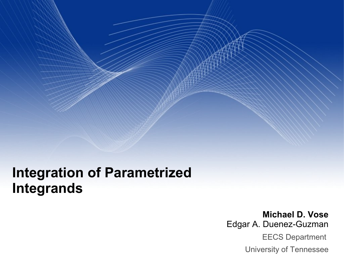## **Integration of Parametrized Integrands**

**Michael D. Vose** Edgar A. Duenez-Guzman EECS Department University of Tennessee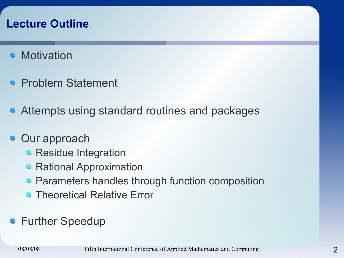## **Lecture Outline**

- **Motivation**
- **Problem Statement**
- Attempts using standard routines and packages
- **Our approach** 
	- Residue Integration
	- Rational Approximation
	- Parameters handles through function composition
	- **Theoretical Relative Error**
- **Further Speedup**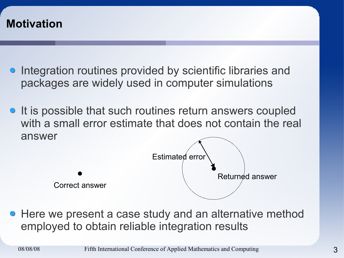

- **•** Integration routines provided by scientific libraries and packages are widely used in computer simulations
- It is possible that such routines return answers coupled with a small error estimate that does not contain the real answer



• Here we present a case study and an alternative method employed to obtain reliable integration results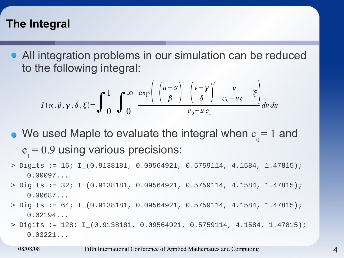## **The Integral**

All integration problems in our simulation can be reduced to the following integral:

$$
I(\alpha, \beta, \gamma, \delta, \xi) = \int_{0}^{1} \int_{0}^{\infty} \frac{\exp\left(-\left(\frac{u-\alpha}{\beta}\right)^{2} - \left(\frac{v-\gamma}{\delta}\right)^{2} - \frac{v}{c_{0}-uc_{1}} - \xi\right)}{c_{0}-uc_{1}} dv du
$$

- We used Maple to evaluate the integral when c 0  $= 1$  and c 1 = 0.9 using various precisions:
- > Digits := 16; I\_(0.9138181, 0.09564921, 0.5759114, 4.1584, 1.47815); 0.00097...
- > Digits := 32; I\_(0.9138181, 0.09564921, 0.5759114, 4.1584, 1.47815); 0.00687...
- > Digits := 64; I\_(0.9138181, 0.09564921, 0.5759114, 4.1584, 1.47815); 0.02194...
- > Digits := 128; I\_(0.9138181, 0.09564921, 0.5759114, 4.1584, 1.47815);  $0.03221...$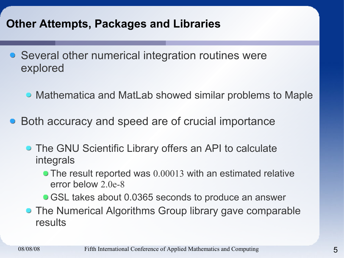## **Other Attempts, Packages and Libraries**

- Several other numerical integration routines were explored
	- Mathematica and MatLab showed similar problems to Maple
- Both accuracy and speed are of crucial importance
	- **The GNU Scientific Library offers an API to calculate** integrals
		- The result reported was 0.00013 with an estimated relative error below 2.0e-8
		- **GSL takes about 0.0365 seconds to produce an answer**
	- The Numerical Algorithms Group library gave comparable results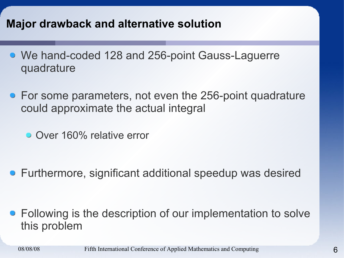## **Major drawback and alternative solution**

- We hand-coded 128 and 256-point Gauss-Laguerre quadrature
- For some parameters, not even the 256-point quadrature could approximate the actual integral
	- Over 160% relative error

Furthermore, significant additional speedup was desired

• Following is the description of our implementation to solve this problem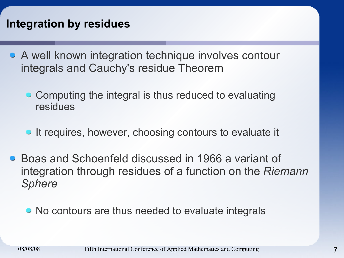## **Integration by residues**

- A well known integration technique involves contour integrals and Cauchy's residue Theorem
	- Computing the integral is thus reduced to evaluating residues
	- It requires, however, choosing contours to evaluate it
- Boas and Schoenfeld discussed in 1966 a variant of integration through residues of a function on the *Riemann Sphere*

• No contours are thus needed to evaluate integrals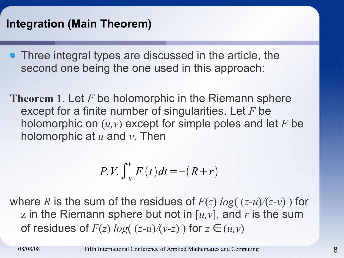## **Integration (Main Theorem)**

- Three integral types are discussed in the article, the second one being the one used in this approach:
- **Theorem 1**. Let *F* be holomorphic in the Riemann sphere except for a finite number of singularities. Let *F* be holomorphic on (*u,v*) except for simple poles and let *F* be holomorphic at *u* and *v*. Then

$$
P.V. \int_u^v F(t) dt = -(R+r)
$$

where *R* is the sum of the residues of  $F(z) \log((z-u)/(z-v))$  for z in the Riemann sphere but not in [*u,v*], and *r* is the sum of residues of  $F(z) \log((z-u)/(v-z))$  for  $z \in (u,v)$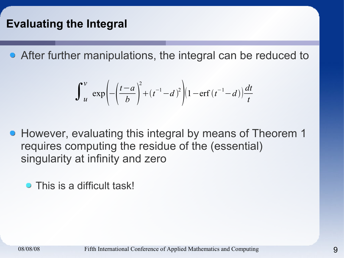## **Evaluating the Integral**

After further manipulations, the integral can be reduced to

$$
\int_{u}^{v} \exp\left(-\left(\frac{t-a}{b}\right)^2 + (t^{-1}-d)^2\right) \left(1 - \text{erf}\left(t^{-1}-d\right)\right) \frac{dt}{t}
$$

- **However, evaluating this integral by means of Theorem 1** requires computing the residue of the (essential) singularity at infinity and zero
	- This is a difficult task!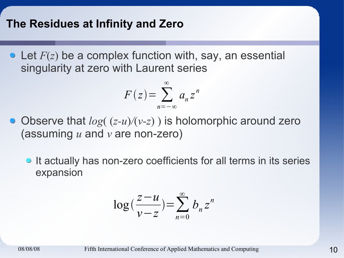#### **The Residues at Infinity and Zero**

Let *F*(*z*) be a complex function with, say, an essential singularity at zero with Laurent series

$$
F(z) = \sum_{n=-\infty}^{\infty} a_n z^n
$$

- Observe that  $log((z-u)/(v-z))$  is holomorphic around zero (assuming *u* and *v* are non-zero)
	- It actually has non-zero coefficients for all terms in its series expansion

$$
\log\left(\frac{z-u}{v-z}\right) = \sum_{n=0}^{\infty} b_n z^n
$$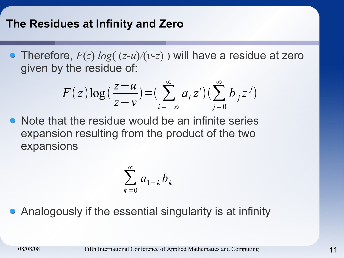## **The Residues at Infinity and Zero**

Therefore, *F*(*z*) *log*( (*z-u*)*/*(*v-z*) ) will have a residue at zero given by the residue of:

$$
F(z)\log\left(\frac{z-u}{z-v}\right) = \left(\sum_{i=-\infty}^{\infty} a_i z^i\right) \left(\sum_{j=0}^{\infty} b_j z^j\right)
$$

• Note that the residue would be an infinite series expansion resulting from the product of the two expansions

$$
\sum_{k=0}^{\infty} a_{1-k} b_k
$$

Analogously if the essential singularity is at infinity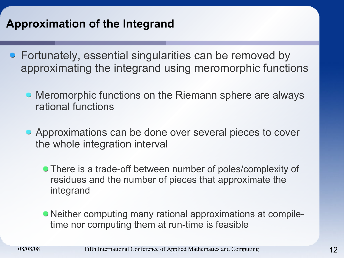## **Approximation of the Integrand**

- Fortunately, essential singularities can be removed by approximating the integrand using meromorphic functions
	- Meromorphic functions on the Riemann sphere are always rational functions
	- Approximations can be done over several pieces to cover the whole integration interval
		- **There is a trade-off between number of poles/complexity of** residues and the number of pieces that approximate the integrand
		- Neither computing many rational approximations at compiletime nor computing them at run-time is feasible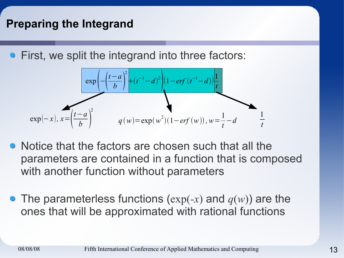## **Preparing the Integrand**

First, we split the integrand into three factors:

$$
\exp\left(-\left(\frac{t-a}{b}\right)^2 + (t^{-1}-d)^2\right)\left(1 - erf(t^{-1}-d)\right)\frac{1}{t}
$$
  

$$
\exp(-x), x = \left(\frac{t-a}{b}\right)^2 \qquad q(w) = \exp(w^2)(1 - erf(w)), w = \frac{1}{t} - d
$$

- Notice that the factors are chosen such that all the parameters are contained in a function that is composed with another function without parameters
- **The parameterless functions (** $exp(-x)$  **and**  $q(w)$ **) are the** ones that will be approximated with rational functions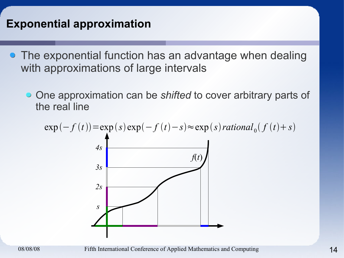## **Exponential approximation**

- The exponential function has an advantage when dealing with approximations of large intervals
	- One approximation can be *shifted* to cover arbitrary parts of the real line

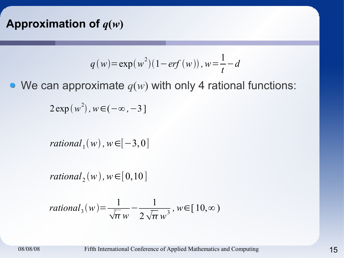## Approximation of  $q(w)$

$$
q(w) = \exp(w^2)(1 - erf(w)), w = \frac{1}{t} - d
$$

• We can approximate  $q(w)$  with only 4 rational functions:

 $2 \exp(w^2)$ ,  $w \in (-\infty, -3]$ 

 $rational_{1}(w)$  ,  $w \in [-3,0]$ 

 $rational_{2}(w)$ ,  $w \in [0,10]$ 

$$
rational_{3}(w) = \frac{1}{\sqrt{\pi}w} - \frac{1}{2\sqrt{\pi}w^{3}}, w \in [10, \infty)
$$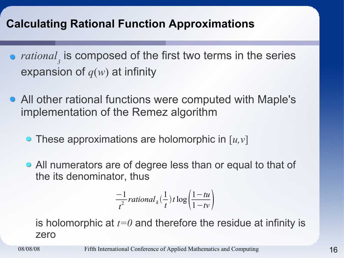## **Calculating Rational Function Approximations**

- *rational 3* is composed of the first two terms in the series expansion of *q*(*w*) at infinity
- All other rational functions were computed with Maple's implementation of the Remez algorithm
	- These approximations are holomorphic in [*u,v*]
	- All numerators are of degree less than or equal to that of the its denominator, thus

$$
\frac{-1}{t^2}\,rational_k(\frac{1}{t})\,t\log\left(\frac{1-tu}{1-tv}\right)
$$

is holomorphic at *t=0* and therefore the residue at infinity is zero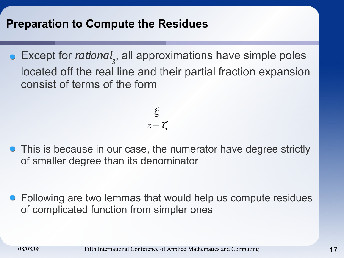## **Preparation to Compute the Residues**

Except for *rational*<sub>3</sub>, all approximations have simple poles located off the real line and their partial fraction expansion consist of terms of the form

$$
\frac{\xi}{z-\zeta}
$$

**•** This is because in our case, the numerator have degree strictly of smaller degree than its denominator

• Following are two lemmas that would help us compute residues of complicated function from simpler ones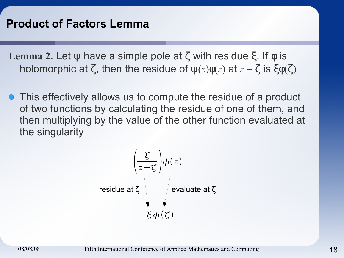**Lemma 2**. Let ψ have a simple pole at ζ with residue ξ. If φ is holomorphic at  $\zeta$ , then the residue of  $\psi(z)\phi(z)$  at  $z = \zeta$  is  $\xi\phi(\zeta)$ 

This effectively allows us to compute the residue of a product of two functions by calculating the residue of one of them, and then multiplying by the value of the other function evaluated at the singularity

$$
\left(\frac{\xi}{z-\zeta}\right)\phi(z)
$$
  
residue at  $\zeta$   

$$
\oint_C \phi(z)
$$
  

$$
\xi \phi(\zeta)
$$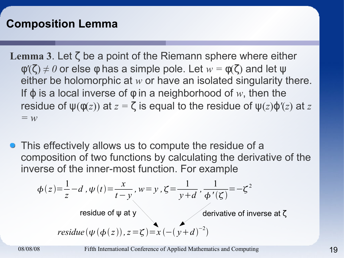## **Composition Lemma**

**Lemma 3**. Let ζ be a point of the Riemann sphere where either  $\phi'(\zeta) \neq 0$  or else  $\phi$  has a simple pole. Let  $w = \phi(\zeta)$  and let  $\psi$ either be holomorphic at *w* or have an isolated singularity there. If  $\varphi$  is a local inverse of  $\varphi$  in a neighborhood of w, then the residue of  $\psi(\phi(z))$  at  $z = \zeta$  is equal to the residue of  $\psi(z)\varphi'(z)$  at  $z$ *= w*

• This effectively allows us to compute the residue of a composition of two functions by calculating the derivative of the inverse of the inner-most function. For example

$$
\phi(z) = \frac{1}{z} - d, \psi(t) = \frac{x}{t - y}, w = y, \zeta = \frac{1}{y + d}, \frac{1}{\phi'(\zeta)} = -\zeta^2
$$
  
residue of  $\psi$  at  $y$   
residue  $(\psi(\phi(z)), z = \zeta) = x(- (y + d)^{-2})$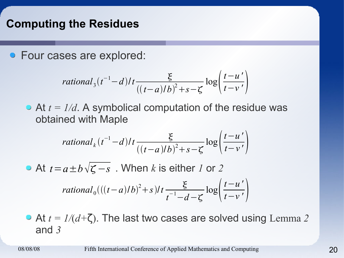## **Computing the Residues**

• Four cases are explored:

$$
rational_{3}(t^{-1}-d)/t \frac{\xi}{((t-a)/b)^{2}+s-\zeta} \log\left(\frac{t-u'}{t-v'}\right)
$$

• At  $t = 1/d$ . A symbolical computation of the residue was obtained with Maple

$$
rational_{k}(t^{-1}-d)/t \frac{\xi}{((t-a)/b)^{2}+s-\zeta} \log\left(\frac{t-u'}{t-v'}\right)
$$

At  $t\!=\!a\!\pm\!b\!\sqrt{\boldsymbol{\zeta}-s}$  . When  $k$  is either  $I$  or  $2$ 

$$
rational_0(((t-a)/b)^2+s)/t \frac{\xi}{t^{-1}-d-\zeta} \log\left(\frac{t-u'}{t-v'}\right)
$$

At *t = 1/*(*d+*ζ). The last two cases are solved using Lemma *2* and *3*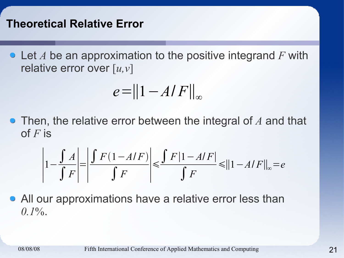Let *A* be an approximation to the positive integrand *F* with relative error over [*u,v*]

$$
e = ||1 - A/F||_{\infty}
$$

Then, the relative error between the integral of *A* and that of *F* is

$$
\left|1 - \frac{\int A}{\int F}\right| = \left|\frac{\int F(1 - A/F)}{\int F}\right| \le \frac{\int F|1 - A/F|}{\int F} \le ||1 - A/F||_{\infty} = e
$$

• All our approximations have a relative error less than  $0.1\%$ .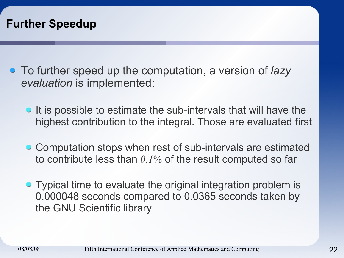

- To further speed up the computation, a version of *lazy evaluation* is implemented:
	- It is possible to estimate the sub-intervals that will have the highest contribution to the integral. Those are evaluated first
	- Computation stops when rest of sub-intervals are estimated to contribute less than *0.1*% of the result computed so far
	- Typical time to evaluate the original integration problem is 0.000048 seconds compared to 0.0365 seconds taken by the GNU Scientific library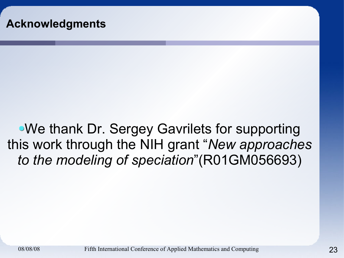We thank Dr. Sergey Gavrilets for supporting this work through the NIH grant "*New approaches to the modeling of speciation*"(R01GM056693)